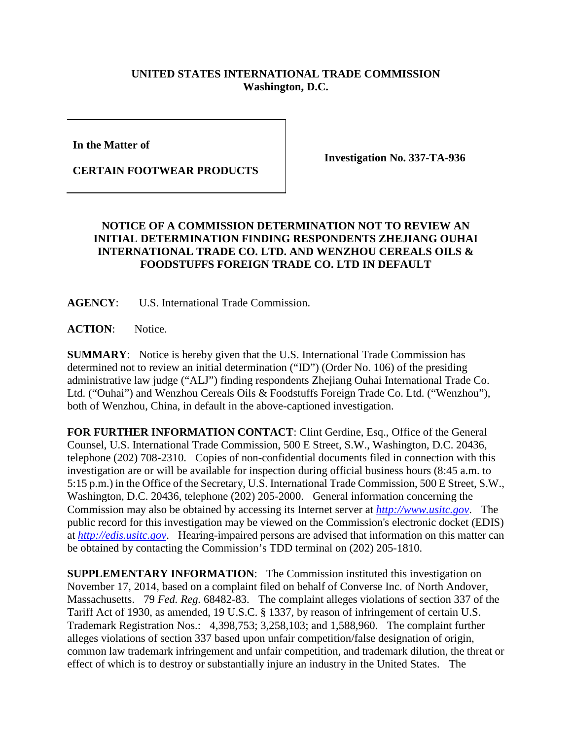## **UNITED STATES INTERNATIONAL TRADE COMMISSION Washington, D.C.**

**In the Matter of** 

**CERTAIN FOOTWEAR PRODUCTS**

**Investigation No. 337-TA-936**

## **NOTICE OF A COMMISSION DETERMINATION NOT TO REVIEW AN INITIAL DETERMINATION FINDING RESPONDENTS ZHEJIANG OUHAI INTERNATIONAL TRADE CO. LTD. AND WENZHOU CEREALS OILS & FOODSTUFFS FOREIGN TRADE CO. LTD IN DEFAULT**

**AGENCY**: U.S. International Trade Commission.

ACTION: Notice.

**SUMMARY**: Notice is hereby given that the U.S. International Trade Commission has determined not to review an initial determination ("ID") (Order No. 106) of the presiding administrative law judge ("ALJ") finding respondents Zhejiang Ouhai International Trade Co. Ltd. ("Ouhai") and Wenzhou Cereals Oils & Foodstuffs Foreign Trade Co. Ltd. ("Wenzhou"), both of Wenzhou, China, in default in the above-captioned investigation.

**FOR FURTHER INFORMATION CONTACT**: Clint Gerdine, Esq., Office of the General Counsel, U.S. International Trade Commission, 500 E Street, S.W., Washington, D.C. 20436, telephone (202) 708-2310. Copies of non-confidential documents filed in connection with this investigation are or will be available for inspection during official business hours (8:45 a.m. to 5:15 p.m.) in the Office of the Secretary, U.S. International Trade Commission, 500 E Street, S.W., Washington, D.C. 20436, telephone (202) 205-2000. General information concerning the Commission may also be obtained by accessing its Internet server at *[http://www.usitc.gov](http://www.usitc.gov/)*. The public record for this investigation may be viewed on the Commission's electronic docket (EDIS) at *[http://edis.usitc.gov](http://edis.usitc.gov/)*. Hearing-impaired persons are advised that information on this matter can be obtained by contacting the Commission's TDD terminal on (202) 205-1810.

**SUPPLEMENTARY INFORMATION**: The Commission instituted this investigation on November 17, 2014, based on a complaint filed on behalf of Converse Inc. of North Andover, Massachusetts. 79 *Fed. Reg.* 68482-83. The complaint alleges violations of section 337 of the Tariff Act of 1930, as amended, 19 U.S.C. § 1337, by reason of infringement of certain U.S. Trademark Registration Nos.: 4,398,753; 3,258,103; and 1,588,960. The complaint further alleges violations of section 337 based upon unfair competition/false designation of origin, common law trademark infringement and unfair competition, and trademark dilution, the threat or effect of which is to destroy or substantially injure an industry in the United States. The